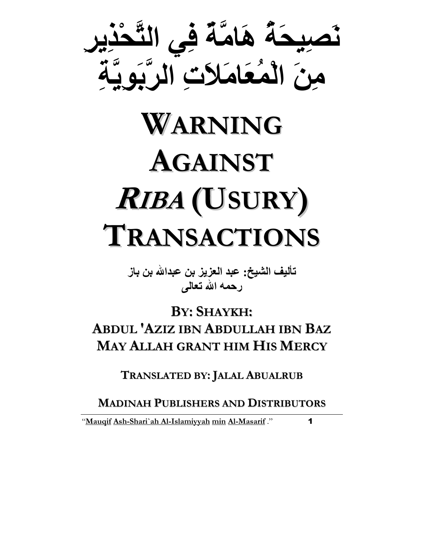

# WARNING AGAINST <sup>R</sup>IBA (USURY) TRANSACTIONS

تأليف الشيخ: عبد العزيز بن عبدالله بن باز رحمه الله تعالى

BY: SHAYKH: ABDUL 'AZIZ IBN ABDULLAH IBN BAZ MAY ALLAH GRANT HIM HIS MERCY

TRANSLATED BY: JALAL ABUALRUB

MADINAH PUBLISHERS AND DISTRIBUTORS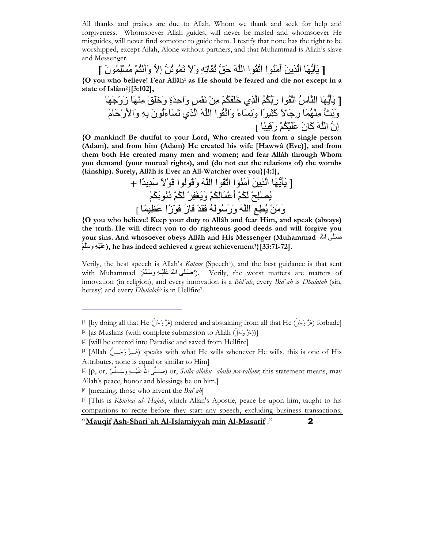All thanks and praises are due to Allah, Whom we thank and seek for help and forgiveness. Whomsoever Allah guides, will never be misled and whomsoever He misguides, will never find someone to guide them. I testify that none has the right to be worshipped, except Allah, Alone without partners, and that Muhammad is Allah's slave and Messenger.

[ يَأْيُهَا الَّذِينَ آمَنُوا اتَّقُوا اللَّهَ حَقَّ ثُقَاتِهِ وَلاَ تَمُوثُنَّ إلاَّ وَأَنْتُمْ مُسْلِمُونَ ] {O you who believe! Fear Allâh<sup>1</sup> as He should be feared and die not except in a state of Islâm2}[3:102],

[ َ#َ"!َ اسُ اُا رُ\$%َُ ا ِي \*ُ\$َََْ ِْ ٍ.ْ/َ وَاَ-ِةٍ وَ\*َََ ِْ!َ زَوْ)َ!َ و9َ%َ ِْ!َُ رِ)ًَ آً56ِ7َا وَِ َءً وَاُا اَ ا ِي َ َءَُنَ ِِ% وَاَ2رَْمَ إِن اَ آَنَ >ُ\$ْ6ََْ رَ;ً:6ِ ]

{O mankind! Be dutiful to your Lord, Who created you from a single person (Adam), and from him (Adam) He created his wife [Hawwâ (Eve)], and from them both He created many men and women; and fear Allâh through Whom you demand (your mutual rights), and (do not cut the relations of) the wombs (kinship). Surely, Allâh is Ever an All-Watcher over you}[4:1],

[ َ#َ"!َ ا َِ َُا اُا اَ وَ;ُُا ;ًَْ =ِ-ًَ-ا + ُAِْ@ْ ُ\$َْ أَ>ُ\$ََْْ وََ?ْ5ِ/ْ ُ\$َْ ذُ\$َ%ُُْ وََْ ُEِDِ اَ وَرَ=َُُ Cْ-ََ Cَزَ Cَْزًا >َBً6ِ [

{O you who believe! Keep your duty to Allâh and fear Him, and speak (always) the truth. He will direct you to do righteous good deeds and will forgive you your sins. And whosoever obeys Allâh and His Messenger (Muhammad صَلَّى اللهُ ِ), he has indeed achieved a great achievement3}[33:71-72].

Verily, the best speech is Allah's Kalam (Speech<sup>4</sup>), and the best guidance is that sent with Muhammad (أَصْلَفْ طَلْبُهِ وَسَلَّمَ). Verily, the worst matters are matters of innovation (in religion), and every innovation is a Bid`ah, every Bid`ah is Dhalalah (sin, heresy) and every *Dhalalah*<sup>6</sup> is in Hellfire<sup>7</sup>.

 $\ddot{\phantom{0}}$ 

il [by doing all that He (عَزَّ وَحَلَّ) ordered and abstaining from all that He (عَزَّا وَحَلَّ) forbade]  $^{[2]}$  [as Muslims (with complete submission to Allâh (إِعَزَّ وَحَمْلَ)]

<sup>[3]</sup> [will be entered into Paradise and saved from Hellfire]

<sup>&</sup>lt;sup>[4]</sup> [Allah (عَــزٌ وَحَــلٌ) speaks with what He wills whenever He wills, this is one of His Attributes, none is equal or similar to Him]

<sup>5]</sup>  $[\rho, \text{ or, }$  صَـــلَى اللهُ عَلَيْــــهِ وَسَـــلَمَ)  $\text{ or, }$  Salla allahu `alaihi wa-sallam; this statement means, may Allah's peace, honor and blessings be on him.]

<sup>[6] [</sup>meaning, those who invent the  $Bid$  ah]

<sup>[7] [</sup>This is *Khutbat al-`Hajah*, which Allah's Apostle, peace be upon him, taught to his companions to recite before they start any speech, excluding business transactions;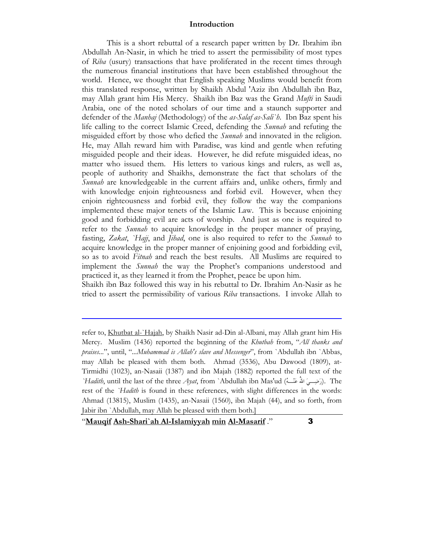#### Introduction

 This is a short rebuttal of a research paper written by Dr. Ibrahim ibn Abdullah An-Nasir, in which he tried to assert the permissibility of most types of Riba (usury) transactions that have proliferated in the recent times through the numerous financial institutions that have been established throughout the world. Hence, we thought that English speaking Muslims would benefit from this translated response, written by Shaikh Abdul 'Aziz ibn Abdullah ibn Baz, may Allah grant him His Mercy. Shaikh ibn Baz was the Grand Mufti in Saudi Arabia, one of the noted scholars of our time and a staunch supporter and defender of the *Manhaj* (Methodology) of the *as-Salaf as-Sali`h*. Ibn Baz spent his life calling to the correct Islamic Creed, defending the Sunnah and refuting the misguided effort by those who defied the *Sunnah* and innovated in the religion. He, may Allah reward him with Paradise, was kind and gentle when refuting misguided people and their ideas. However, he did refute misguided ideas, no matter who issued them. His letters to various kings and rulers, as well as, people of authority and Shaikhs, demonstrate the fact that scholars of the Sunnah are knowledgeable in the current affairs and, unlike others, firmly and with knowledge enjoin righteousness and forbid evil. However, when they enjoin righteousness and forbid evil, they follow the way the companions implemented these major tenets of the Islamic Law. This is because enjoining good and forbidding evil are acts of worship. And just as one is required to refer to the *Sunnah* to acquire knowledge in the proper manner of praying, fasting, Zakat, `Hajj, and Jihad, one is also required to refer to the Sunnah to acquire knowledge in the proper manner of enjoining good and forbidding evil, so as to avoid *Fitnah* and reach the best results. All Muslims are required to implement the *Sunnah* the way the Prophet's companions understood and practiced it, as they learned it from the Prophet, peace be upon him.

Shaikh ibn Baz followed this way in his rebuttal to Dr. Ibrahim An-Nasir as he tried to assert the permissibility of various Riba transactions. I invoke Allah to

"Mauqif Ash-Shari`ah Al-Islamiyyah min Al-Masarif ." $\qquad \qquad$  3

l

refer to, Khutbat al-`Hajah, by Shaikh Nasir ad-Din al-Albani, may Allah grant him His Mercy. Muslim (1436) reported the beginning of the Khutbah from, "All thanks and praises...", until, "...Muhammad is Allah's slave and Messenger", from `Abdullah ibn `Abbas, may Allah be pleased with them both. Ahmad (3536), Abu Dawood (1809), at-Tirmidhi (1023), an-Nasaii (1387) and ibn Majah (1882) reported the full text of the `Hadith, until the last of the three Ayat, from `Abdullah ibn Mas'ud (أرَضِـــيَ اللهُ عَنْـــهُ). The rest of the `Hadith is found in these references, with slight differences in the words: Ahmad (13815), Muslim (1435), an-Nasaii (1560), ibn Majah (44), and so forth, from Jabir ibn `Abdullah, may Allah be pleased with them both.]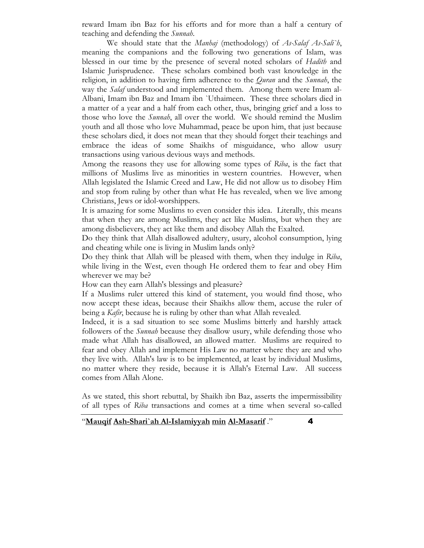reward Imam ibn Baz for his efforts and for more than a half a century of teaching and defending the Sunnah.

We should state that the *Manhaj* (methodology) of As-Salaf As-Sali'h, meaning the companions and the following two generations of Islam, was blessed in our time by the presence of several noted scholars of *Hadith* and Islamic Jurisprudence. These scholars combined both vast knowledge in the religion, in addition to having firm adherence to the *Quran* and the *Sunnah*, the way the *Salaf* understood and implemented them. Among them were Imam al-Albani, Imam ibn Baz and Imam ibn `Uthaimeen. These three scholars died in a matter of a year and a half from each other, thus, bringing grief and a loss to those who love the *Sunnah*, all over the world. We should remind the Muslim youth and all those who love Muhammad, peace be upon him, that just because these scholars died, it does not mean that they should forget their teachings and embrace the ideas of some Shaikhs of misguidance, who allow usury transactions using various devious ways and methods.

Among the reasons they use for allowing some types of Riba, is the fact that millions of Muslims live as minorities in western countries. However, when Allah legislated the Islamic Creed and Law, He did not allow us to disobey Him and stop from ruling by other than what He has revealed, when we live among Christians, Jews or idol-worshippers.

It is amazing for some Muslims to even consider this idea. Literally, this means that when they are among Muslims, they act like Muslims, but when they are among disbelievers, they act like them and disobey Allah the Exalted.

Do they think that Allah disallowed adultery, usury, alcohol consumption, lying and cheating while one is living in Muslim lands only?

Do they think that Allah will be pleased with them, when they indulge in Riba, while living in the West, even though He ordered them to fear and obey Him wherever we may be?

How can they earn Allah's blessings and pleasure?

If a Muslims ruler uttered this kind of statement, you would find those, who now accept these ideas, because their Shaikhs allow them, accuse the ruler of being a *Kafir*, because he is ruling by other than what Allah revealed.

Indeed, it is a sad situation to see some Muslims bitterly and harshly attack followers of the *Sunnah* because they disallow usury, while defending those who made what Allah has disallowed, an allowed matter. Muslims are required to fear and obey Allah and implement His Law no matter where they are and who they live with. Allah's law is to be implemented, at least by individual Muslims, no matter where they reside, because it is Allah's Eternal Law. All success comes from Allah Alone.

As we stated, this short rebuttal, by Shaikh ibn Baz, asserts the impermissibility of all types of Riba transactions and comes at a time when several so-called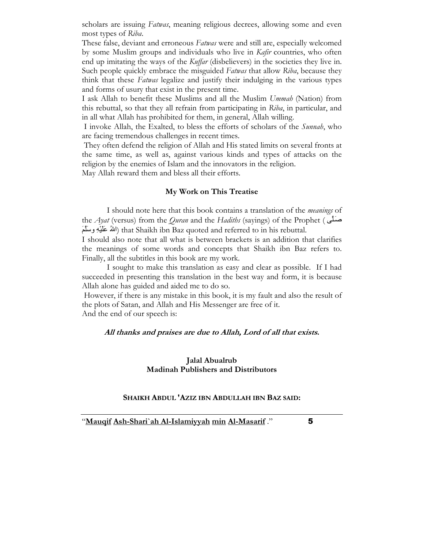scholars are issuing Fatwas, meaning religious decrees, allowing some and even most types of Riba.

These false, deviant and erroneous *Fatwas* were and still are, especially welcomed by some Muslim groups and individuals who live in Kafir countries, who often end up imitating the ways of the *Kuffar* (disbelievers) in the societies they live in. Such people quickly embrace the misguided Fatwas that allow Riba, because they think that these Fatwas legalize and justify their indulging in the various types and forms of usury that exist in the present time.

I ask Allah to benefit these Muslims and all the Muslim Ummah (Nation) from this rebuttal, so that they all refrain from participating in Riba, in particular, and in all what Allah has prohibited for them, in general, Allah willing.

 I invoke Allah, the Exalted, to bless the efforts of scholars of the Sunnah, who are facing tremendous challenges in recent times.

 They often defend the religion of Allah and His stated limits on several fronts at the same time, as well as, against various kinds and types of attacks on the religion by the enemies of Islam and the innovators in the religion.

May Allah reward them and bless all their efforts.

#### My Work on This Treatise

 I should note here that this book contains a translation of the meanings of the Ayat (versus) from the Quran and the Hadiths (sayings) of the Prophet (  $\Delta$ سنلی اللهُ عَلَيْهِ وِسَلَّمَ) that Shaikh ibn Baz quoted and referred to in his rebuttal.

I should also note that all what is between brackets is an addition that clarifies the meanings of some words and concepts that Shaikh ibn Baz refers to. Finally, all the subtitles in this book are my work.

 I sought to make this translation as easy and clear as possible. If I had succeeded in presenting this translation in the best way and form, it is because Allah alone has guided and aided me to do so.

 However, if there is any mistake in this book, it is my fault and also the result of the plots of Satan, and Allah and His Messenger are free of it. And the end of our speech is:

#### All thanks and praises are due to Allah, Lord of all that exists.

#### Jalal Abualrub Madinah Publishers and Distributors

#### SHAIKH ABDUL 'AZIZ IBN ABDULLAH IBN BAZ SAID: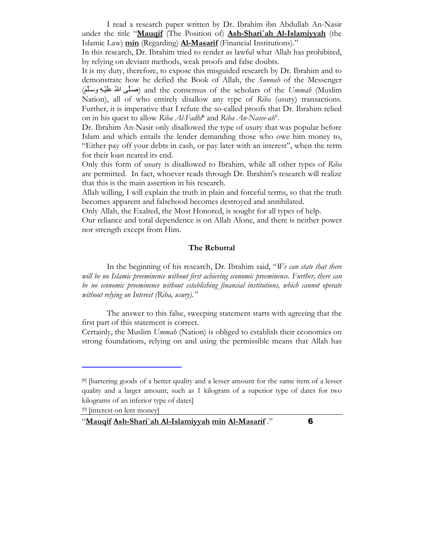I read a research paper written by Dr. Ibrahim ibn Abdullah An-Nasir under the title "Mauqif (The Position of) Ash-Shari'ah Al-Islamiyyah (the Islamic Law) min (Regarding) **Al-Masarif** (Financial Institutions)."

In this research, Dr. Ibrahim tried to render as lawful what Allah has prohibited, by relying on deviant methods, weak proofs and false doubts.

It is my duty, therefore, to expose this misguided research by Dr. Ibrahim and to demonstrate how he defied the Book of Allah, the *Sunnah* of the Messenger (صَلَّى اللهُ عَلَيْهِ وِسَلَّمَ) and the consensus of the scholars of the Ummah (Muslim Nation), all of who entirely disallow any type of Riba (usury) transactions. Further, it is imperative that I refute the so-called proofs that Dr. Ibrahim relied on in his quest to allow Riba Al-Fadhl<sup>8</sup> and Riba An-Nasee-ah<sup>9</sup>.

Dr. Ibrahim An-Nasir only disallowed the type of usury that was popular before Islam and which entails the lender demanding those who owe him money to, "Either pay off your debts in cash, or pay later with an interest", when the term for their loan neared its end.

Only this form of usury is disallowed to Ibrahim, while all other types of Riba are permitted. In fact, whoever reads through Dr. Ibrahim's research will realize that this is the main assertion in his research.

Allah willing, I will explain the truth in plain and forceful terms, so that the truth becomes apparent and falsehood becomes destroyed and annihilated.

Only Allah, the Exalted, the Most Honored, is sought for all types of help.

Our reliance and total dependence is on Allah Alone, and there is neither power nor strength except from Him.

#### The Rebuttal

In the beginning of his research, Dr. Ibrahim said, "We can state that there will be no Islamic preeminence without first achieving economic preeminence. Further, there can be no economic preeminence without establishing financial institutions, which cannot operate without relying on Interest (Riba, usury)."

 The answer to this false, sweeping statement starts with agreeing that the first part of this statement is correct.

Certainly, the Muslim Ummah (Nation) is obliged to establish their economies on strong foundations, relying on and using the permissible means that Allah has

[9] [interest on lent money]

 $\ddot{\phantom{0}}$ 

<sup>[8]</sup> [bartering goods of a better quality and a lesser amount for the same item of a lesser quality and a larger amount, such as 1 kilogram of a superior type of dates for two kilograms of an inferior type of dates]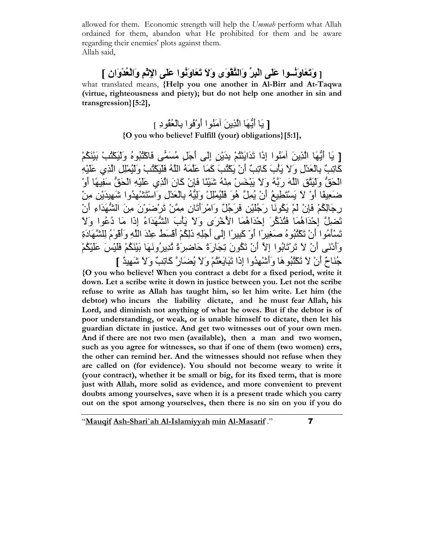allowed for them. Economic strength will help the Ummah perform what Allah ordained for them, abandon what He prohibited for them and be aware regarding their enemies' plots against them. Allah said,

# [ وَتَعَاوَنُسُوا عَلَى الْبِرِّ وَالنَّقْوَى وَلَا تَعَاوَنُوا عَلَى الإِتْمِ وَالْعُدْوَانِ ]

what translated means, {Help you one another in Al-Birr and At-Taqwa (virtue, righteousness and piety); but do not help one another in sin and transgression}[5:2],

## [ يَا أَيُّهَا الَّذِينَ آمَنُو ا أَوْفُو ا بِالْعُقُودِ ] {O you who believe! Fulfill (your) obligations}[5:1],

[ يَا أَيُّهَا الَّذِينَ آمَنُوا إِذَا تَدَايَنْتُمْ بِدَيْنِ إِلَى أَجَلِ مُسَمَّى فَاكْتُبُوهُ وَلَيَكْتُبْ بَيْنَكُمْ كَاتِبٌ بِالْعَدْلِ وَ لاَ يَأْبَ كَاتِبٌ أَنْ بَكْتُبَ كَمَا عَلَّمَهُ اللَّهُ فَلْبَكَتُبْ وَلَبُمْلِلِ الَّذِي عَلَيْهِ الْحَقُّ وَلْيَتَّقِ اللَّهَ رَبَّهُ وَلاَ يَبْخَسْ مِنْهُ شَيْئًا فَإِنْ كَانَ الَّذِي عَلَيْهِ الْحَقُّ سَفِيهًا أَوْ ضَعِيقًا أَوْ لاَ يَسْتَطْيعُ أَنْ يُمِلَّ هُوَ فَلْيُمْلِلْ وَلِيُّهُ بِالْعَدْلِ وَاسْتَشْهِدُوا شَهِيدَيْنِ مِنْ رِجَالِكُمْ فَإِنْ لَمْ يَكُونَا رَجُلَيْنِ فَرَجُلٌ وَامْرِ أَتَانِ مِعَنْ تَرْضَوَيْنَ مِنَ الشُّهَدَاءِ أَنْ تَضلِّلَ إِحْدَاهُمَا فَتُذَكَّرَ ۖ إِحْدَاهُمَا الأُخْرَى وَلاَ بَأْبَ الشُّهَدَاءُ إِذَا مَا دُعُوا وَلاَ تَسْأَمُوا أَنْ تَكْثُبُوهُ صَغِيرًا أَوْ كَبِيرًا إِلَى أَجَلِهِ ذَلِكُمْ أَقْسَطُ عِنْدَ اللَّهِ وَأَقْوَمُ لِلشَّهَادَةِ وَأَدْنَى أَنْ لاَ تَرْتَابُوا إِلاَّ أَنْ تَكُونَ تِجَارَةً حَاضِرِكَةً تُدِيرُونَهَا بَيْنَكُمْ فَلَيْسَ عَلَيْكُمْ جُنَاحٌ أَنْ لاَ تَكْثُبُوهَا وَأَسْْهِدُوا إِذَا تَبَايَعْتُمْ وَلاَ يُضَارَّ كَاتِبٌ وَلاَ شَهِيدٌ ]

{O you who believe! When you contract a debt for a fixed period, write it down. Let a scribe write it down in justice between you. Let not the scribe refuse to write as Allah has taught him, so let him write. Let him (the debtor) who incurs the liability dictate, and he must fear Allah, his Lord, and diminish not anything of what he owes. But if the debtor is of poor understanding, or weak, or is unable himself to dictate, then let his guardian dictate in justice. And get two witnesses out of your own men. And if there are not two men (available), then a man and two women, such as you agree for witnesses, so that if one of them (two women) errs, the other can remind her. And the witnesses should not refuse when they are called on (for evidence). You should not become weary to write it (your contract), whether it be small or big, for its fixed term, that is more just with Allah, more solid as evidence, and more convenient to prevent doubts among yourselves, save when it is a present trade which you carry out on the spot among yourselves, then there is no sin on you if you do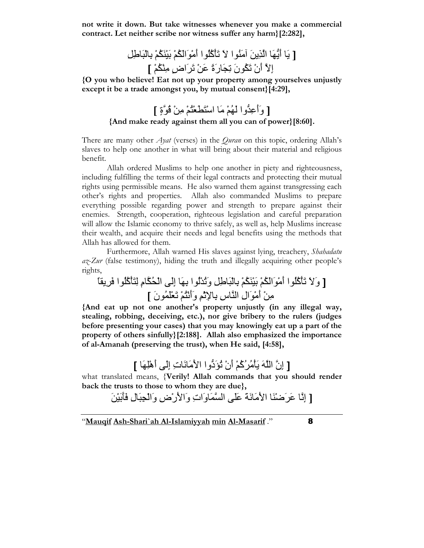not write it down. But take witnesses whenever you make a commercial contract. Let neither scribe nor witness suffer any harm}[2:282],

[ َ أَ"!َ ا َِ َُا َ ْ#َآُُا أََْاُ\$َْ ْ6َ%ُ\$َْ َ:ِْ%aِOِ إِ أَنْ ُ\$َنَ ِ\_َرَةً >َْ َ5َاضٍ ُِ\$ْْ ]

{O you who believe! Eat not up your property among yourselves unjustly except it be a trade amongst you, by mutual consent}[4:29],

# [ وَأَعِدُّوا لَهُمْ مَا اسْتَطَعْتُمْ مِنْ قُوَّةٍ ] {And make ready against them all you can of power}[8:60].

There are many other *Ayat* (verses) in the *Quran* on this topic, ordering Allah's slaves to help one another in what will bring about their material and religious benefit.

 Allah ordered Muslims to help one another in piety and righteousness, including fulfilling the terms of their legal contracts and protecting their mutual rights using permissible means. He also warned them against transgressing each other's rights and properties. Allah also commanded Muslims to prepare everything possible regarding power and strength to prepare against their enemies. Strength, cooperation, righteous legislation and careful preparation will allow the Islamic economy to thrive safely, as well as, help Muslims increase their wealth, and acquire their needs and legal benefits using the methods that Allah has allowed for them.

 Furthermore, Allah warned His slaves against lying, treachery, Shahadatu  $a\zeta$ -Zur (false testimony), hiding the truth and illegally acquiring other people's rights,

[ وََ ْ#َآُُا أََْاُ\$َْ ْ6َ%ُ\$َْ َ:ِْ%aِOِ وُْ-َُا ِ%!َ إَِG اْS\$ُمِ ِ
ْ#َآُُا Cِ5ًَ ِْ أََْالِ اسِ ِ%dِcْِ وَأَْ
ُْ َKَُْنَ ]

{And eat up not one another's property unjustly (in any illegal way, stealing, robbing, deceiving, etc.), nor give bribery to the rulers (judges before presenting your cases) that you may knowingly eat up a part of the property of others sinfully}[2:188]. Allah also emphasized the importance of al-Amanah (preserving the trust), when He said, [4:58],

[ إِن اَ ْ#َُ5ُآُْ أَنْ ُfَد"وا اَ2ََتِ إَِG أَهِْ!َ ]

what translated means, {Verily! Allah commands that you should render back the trusts to those to whom they are due},

[ إِ >َ5َXَْ اَ2ََgَ< ََG ا َوَاتِ وَاَ2رْضِ وَاْ\_َ:ِلِ Cَْ6َ%َ#َ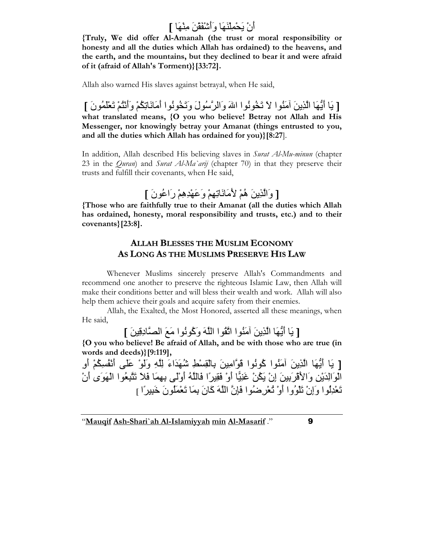أَنْ يَحْمِلْنَهَا وَأَشْفَقْنَ مِنْهَا ]

{Truly, We did offer AlAmanah (the trust or moral responsibility or honesty and all the duties which Allah has ordained) to the heavens, and the earth, and the mountains, but they declined to bear it and were afraid of it (afraid of Allah's Torment)}[33:72].

Allah also warned His slaves against betrayal, when He said,

[ يَا أَيُّهَا الَّذِينَ آمَنُوا لاَ تَخُونُوا اللهَ وَالرَّسُولَ وَتَخُونُوا أَمَانَاتِكُمْ وَأَنْتُمْ تَعْلَمُونَ ] what translated means, {O you who believe! Betray not Allah and His Messenger, nor knowingly betray your Amanat (things entrusted to you, and all the duties which Allah has ordained for you)}[8:27].

In addition, Allah described His believing slaves in Surat Al-Mu-minun (chapter 23 in the *Quran*) and *Surat Al-Ma`arij* (chapter 70) in that they preserve their trusts and fulfill their covenants, when He said,

[ وَالَّذِينَ هُمْ لِأَمَانَاتِهِمْ وَعَهْدِهِمْ رَاعُو نَ ]

{Those who are faithfully true to their Amanat (all the duties which Allah has ordained, honesty, moral responsibility and trusts, etc.) and to their covenants}[23:8].

## ALLAH BLESSES THE MUSLIM ECONOMY AS LONG AS THE MUSLIMS PRESERVE HIS LAW

 Whenever Muslims sincerely preserve Allah's Commandments and recommend one another to preserve the righteous Islamic Law, then Allah will make their conditions better and will bless their wealth and work. Allah will also help them achieve their goals and acquire safety from their enemies.

 Allah, the Exalted, the Most Honored, asserted all these meanings, when He said,

[ يَا أَيُّهَا الَّذِينَ آمَنُوا اتَّقُوا اللَّهَ وَكُونُوا مَعَ الصَّادِقِينَ ]

{O you who believe! Be afraid of Allah, and be with those who are true (in words and deeds)}[9:119],

[ يَا أَيُّهَا الَّذِينَ أَمَنُوا كُونُوا قَوَّامِينَ بِالْقِسْطِ شُهَدَاءَ لِلَّهِ وَلَوْ عَلَى أَنْفُسِكُمْ أُو الْوَ الْدَبْرِ ، وَالأَقْرِ بِينَ إِنْ بَكْنْ غَنِيًّا أَوْ فَقِيراً فَاللَّهُ أَوْلَى بِهِمَا فَلاَ تَتَّبِعُوا الْهَوَى أَنْ تَعْدِلُوا وَإِنْ تَلْوُوا أَوْ تُعْرِضُوا فَإِنَّ اللَّهَ كَانَ بِمَا تَعْمَلُونَ خَبِيراً ل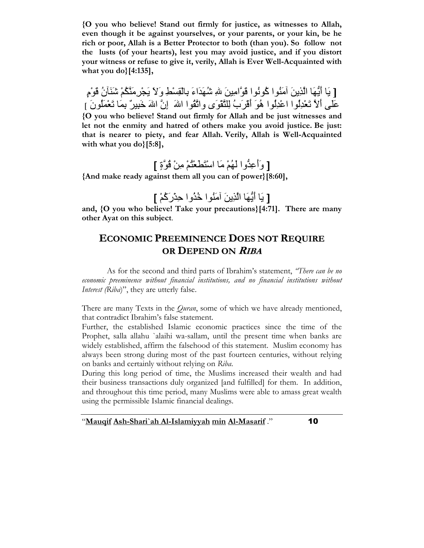{O you who believe! Stand out firmly for justice, as witnesses to Allah, even though it be against yourselves, or your parents, or your kin, be he rich or poor, Allah is a Better Protector to both (than you). So follow not the lusts (of your hearts), lest you may avoid justice, and if you distort your witness or refuse to give it, verily, Allah is Ever Well-Acquainted with what you do}[4:135],

[ يَا أَيُّهَا الَّذِينَ أَمَنُوا كُونُوا قَوَّامِينَ للهِ شُهَدَاءَ بِالْقِسْطِ وَلاَ يَجْرِمَنَّكُمْ شَنَأَنُ قَوْمٍ عَلَى أَلاَّ تَعْدِلُوا اعْدِلُوا هُوَ أَقْرَبُ لِلنَّقْوَى واتَّقُوا اللهَ ۚ إِنَّ اللهَ خَبِيرٌ ۖ بِمَا تَعْمَلُونَ ] {O you who believe! Stand out firmly for Allah and be just witnesses and let not the enmity and hatred of others make you avoid justice. Be just: that is nearer to piety, and fear Allah. Verily, Allah is Well-Acquainted with what you do}[5:8],

[ وَأَعِدُّوا لَهُمْ مَا اسْتَطْعْنُمْ مِنْ قُوَّةٍ ]

{And make ready against them all you can of power}[8:60],

[ يَا أَيُّهَا الَّذِينَ آمَنُو ا خُذُو ا حِزْرَكُمْ ]

and, {O you who believe! Take your precautions}[4:71]. There are many other Ayat on this subject.

# ECONOMIC PREEMINENCE DOES NOT REQUIRE OR DEPEND ON RIBA

 As for the second and third parts of Ibrahim's statement, "There can be no economic preeminence without financial institutions, and no financial institutions without Interest (Riba)", they are utterly false.

There are many Texts in the *Quran*, some of which we have already mentioned, that contradict Ibrahim's false statement.

Further, the established Islamic economic practices since the time of the Prophet, salla allahu `alaihi wa-sallam, until the present time when banks are widely established, affirm the falsehood of this statement. Muslim economy has always been strong during most of the past fourteen centuries, without relying on banks and certainly without relying on Riba.

During this long period of time, the Muslims increased their wealth and had their business transactions duly organized [and fulfilled] for them. In addition, and throughout this time period, many Muslims were able to amass great wealth using the permissible Islamic financial dealings.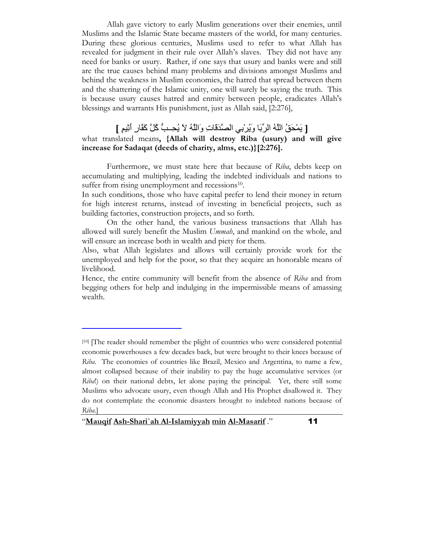Allah gave victory to early Muslim generations over their enemies, until Muslims and the Islamic State became masters of the world, for many centuries. During these glorious centuries, Muslims used to refer to what Allah has revealed for judgment in their rule over Allah's slaves. They did not have any need for banks or usury. Rather, if one says that usury and banks were and still are the true causes behind many problems and divisions amongst Muslims and behind the weakness in Muslim economies, the hatred that spread between them and the shattering of the Islamic unity, one will surely be saying the truth. This is because usury causes hatred and enmity between people, eradicates Allah's blessings and warrants His punishment, just as Allah said, [2:276],

## [ يَمْحَقُ اللَّهُ الرِّبَا وَيُرِبى الصَّدَقَاتِ وَاللَّهُ لاَ يُحِـبُّ كُلَّ كَفَّارٍ أَثِيمٍ ]

#### what translated means, {Allah will destroy Riba (usury) and will give increase for Sadaqat (deeds of charity, alms, etc.)}[2:276].

 Furthermore, we must state here that because of Riba, debts keep on accumulating and multiplying, leading the indebted individuals and nations to suffer from rising unemployment and recessions<sup>10</sup>.

In such conditions, those who have capital prefer to lend their money in return for high interest returns, instead of investing in beneficial projects, such as building factories, construction projects, and so forth.

 On the other hand, the various business transactions that Allah has allowed will surely benefit the Muslim Ummah, and mankind on the whole, and will ensure an increase both in wealth and piety for them.

Also, what Allah legislates and allows will certainly provide work for the unemployed and help for the poor, so that they acquire an honorable means of livelihood.

Hence, the entire community will benefit from the absence of Riba and from begging others for help and indulging in the impermissible means of amassing wealth.

"Mauqif Ash-Shari`ah Al-Islamiyyah min Al-Masarif ." 11

 $\ddot{\phantom{0}}$ 

<sup>[10]</sup> [The reader should remember the plight of countries who were considered potential economic powerhouses a few decades back, but were brought to their knees because of Riba. The economies of countries like Brazil, Mexico and Argentina, to name a few, almost collapsed because of their inability to pay the huge accumulative services (or Riba!) on their national debts, let alone paying the principal. Yet, there still some Muslims who advocate usury, even though Allah and His Prophet disallowed it. They do not contemplate the economic disasters brought to indebted nations because of Riba.]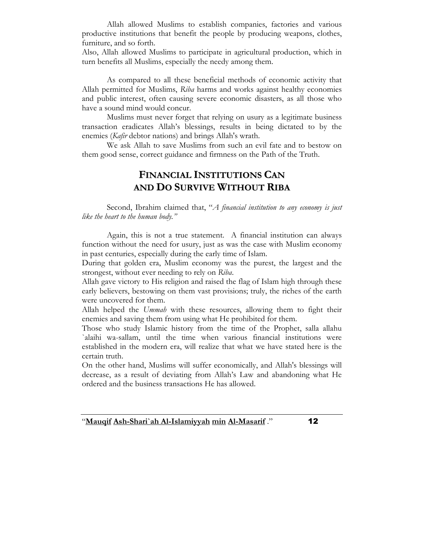Allah allowed Muslims to establish companies, factories and various productive institutions that benefit the people by producing weapons, clothes, furniture, and so forth.

Also, Allah allowed Muslims to participate in agricultural production, which in turn benefits all Muslims, especially the needy among them.

As compared to all these beneficial methods of economic activity that Allah permitted for Muslims, Riba harms and works against healthy economies and public interest, often causing severe economic disasters, as all those who have a sound mind would concur.

Muslims must never forget that relying on usury as a legitimate business transaction eradicates Allah's blessings, results in being dictated to by the enemies (Kafir debtor nations) and brings Allah's wrath.

We ask Allah to save Muslims from such an evil fate and to bestow on them good sense, correct guidance and firmness on the Path of the Truth.

## FINANCIAL INSTITUTIONS CAN AND DO SURVIVE WITHOUT RIBA

Second, Ibrahim claimed that, "A financial institution to any economy is just like the heart to the human body."

 Again, this is not a true statement. A financial institution can always function without the need for usury, just as was the case with Muslim economy in past centuries, especially during the early time of Islam.

During that golden era, Muslim economy was the purest, the largest and the strongest, without ever needing to rely on Riba.

Allah gave victory to His religion and raised the flag of Islam high through these early believers, bestowing on them vast provisions; truly, the riches of the earth were uncovered for them.

Allah helped the Ummah with these resources, allowing them to fight their enemies and saving them from using what He prohibited for them.

Those who study Islamic history from the time of the Prophet, salla allahu `alaihi wa-sallam, until the time when various financial institutions were established in the modern era, will realize that what we have stated here is the certain truth.

On the other hand, Muslims will suffer economically, and Allah's blessings will decrease, as a result of deviating from Allah's Law and abandoning what He ordered and the business transactions He has allowed.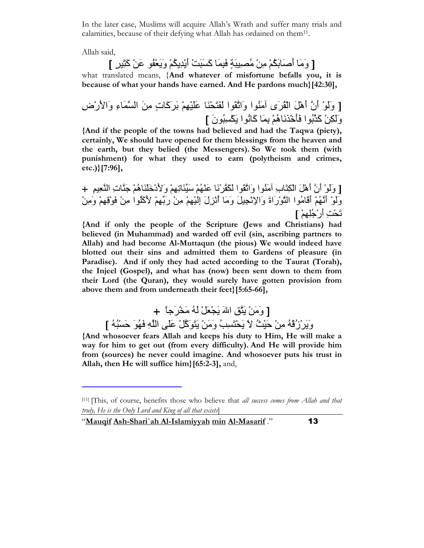In the later case, Muslims will acquire Allah's Wrath and suffer many trials and calamities, because of their defying what Allah has ordained on them<sup>11</sup>.

Allah said,

l

[ وَمَا أَصَابَكُمْ مِنْ مُصنِيَةٍ فَبِمَا كَسَبَتْ أَيْدِيكُمْ وَيَعْفُو عَنْ كَثِيرِ ]

what translated means, {And whatever of misfortune befalls you, it is because of what your hands have earned. And He pardons much}[42:30],

[ وَلَوْ أَنَّ أَهْلَ الْقُرَى أَمَنُوا وَاتَّقُوا لَفَتَحْنَا عَلَيْهِمْ بَرَكَاتٍ مِنَ السَّمَاءِ وَالأَرْض وَلَكِنْ كَذَّبُوا فَأَخْذَنَاهُمْ بِمَا كَانُوا يَكْسِبُونَ ]

{And if the people of the towns had believed and had the Taqwa (piety), certainly, We should have opened for them blessings from the heaven and the earth, but they belied (the Messengers). So We took them (with punishment) for what they used to earn (polytheism and crimes, etc.)}[7:96],

[ وَلَوْ أَنَّ أَهْلَ الْكِتَابِ آمَنُوا وَاتَّقُوا لَكَفَّرْنَا عَنْهُمْ سَيِّئَاتِهِمْ وَلأَدْخَلْنَاهُمْ جَذَّاتِ النَّعِيمِ + وَلَوْ أَنَّهُمْ أَقَامُوا النَّوْرَاةَ وَالإِنْجِيلَ وَمَا أُنْزِلَ اِلْيْهِمْ مِنْ رَبِّهِمْ لأَكَلُوا مِنْ فَوْقِهِمْ وَمِنْ تَحْتِ أَرْ جُلِهِمْ ]

{And if only the people of the Scripture (Jews and Christians) had believed (in Muhammad) and warded off evil (sin, ascribing partners to Allah) and had become Al-Muttaqun (the pious) We would indeed have blotted out their sins and admitted them to Gardens of pleasure (in Paradise). And if only they had acted according to the Taurat (Torah), the Injeel (Gospel), and what has (now) been sent down to them from their Lord (the Quran), they would surely have gotten provision from above them and from underneath their feet}[5:65-66],

[ وَ مَنْ بَثَّقٍ اللهَ بَجْعَلْ لَهُ مَخْرِ َجاً ﴾ وَيَرْزُقْهُ مِنْ حَيْثُ لاَ يَحْتَسِبُ وَمَنْ يَتَوَكَّلْ عَلَى اللَّهِ فَهُوَ حَسْبُهُ ]

{And whosoever fears Allah and keeps his duty to Him, He will make a way for him to get out (from every difficulty). And He will provide him from (sources) he never could imagine. And whosoever puts his trust in Allah, then He will suffice him}[65:2-3], and,

<sup>[11] [</sup>This, of course, benefits those who believe that all success comes from Allah and that truly, He is the Only Lord and King of all that exists]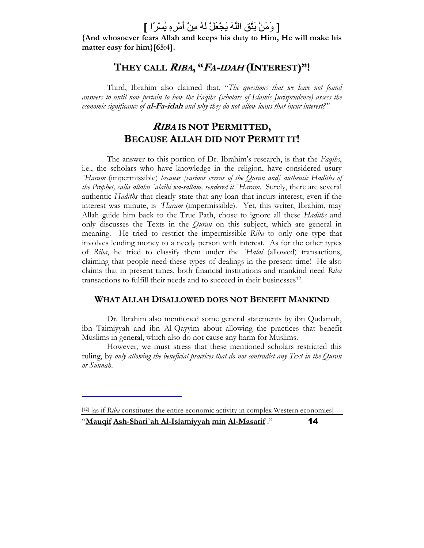# [ وَمَنْ يَتَّقِ اللَّهَ يَجْعَلْ لَهُ مِنْ أَمْرِهِ يُسْرًا ]

{And whosoever fears Allah and keeps his duty to Him, He will make his matter easy for him}[65:4].

# They call *Riba*, "*Fa-idah* (Interest)"!

Third, Ibrahim also claimed that, "The questions that we have not found answers to until now pertain to how the Faqihs (scholars of Islamic Jurisprudence) assess the economic significance of **al-Fa-idah** and why they do not allow loans that incur interest?"

## RIBA IS NOT PERMITTED, BECAUSE ALLAH DID NOT PERMIT IT!

The answer to this portion of Dr. Ibrahim's research, is that the Faqihs, i.e., the scholars who have knowledge in the religion, have considered usury `Haram (impermissible) because [various versus of the Quran and] authentic Hadiths of the Prophet, salla allahu `alaihi wa-sallam, rendered it `Haram. Surely, there are several authentic Hadiths that clearly state that any loan that incurs interest, even if the interest was minute, is *`Haram* (impermissible). Yet, this writer, Ibrahim, may Allah guide him back to the True Path, chose to ignore all these Hadiths and only discusses the Texts in the *Quran* on this subject, which are general in meaning. He tried to restrict the impermissible Riba to only one type that involves lending money to a needy person with interest. As for the other types of Riba, he tried to classify them under the `Halal (allowed) transactions, claiming that people need these types of dealings in the present time! He also claims that in present times, both financial institutions and mankind need Riba transactions to fulfill their needs and to succeed in their businesses<sup>12</sup>.

#### WHAT ALLAH DISALLOWED DOES NOT BENEFIT MANKIND

 Dr. Ibrahim also mentioned some general statements by ibn Qudamah, ibn Taimiyyah and ibn Al-Qayyim about allowing the practices that benefit Muslims in general, which also do not cause any harm for Muslims.

 However, we must stress that these mentioned scholars restricted this ruling, by only allowing the beneficial practices that do not contradict any Text in the Quran or Sunnah.

 $\ddot{\phantom{0}}$ 

<sup>&</sup>quot;Mauqif Ash-Shari`ah Al-Islamiyyah min Al-Masarif ." 14 [12] [as if Riba constitutes the entire economic activity in complex Western economies]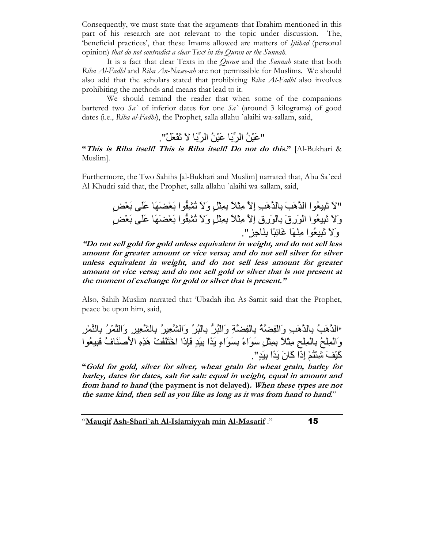Consequently, we must state that the arguments that Ibrahim mentioned in this part of his research are not relevant to the topic under discussion. The, 'beneficial practices', that these Imams allowed are matters of Ijtihad (personal opinion) that do not contradict a clear Text in the Quran or the Sunnah.

It is a fact that clear Texts in the *Ouran* and the *Sunnah* state that both Riba Al-Fadhl and Riba An-Nasee-ah are not permissible for Muslims. We should also add that the scholars stated that prohibiting Riba Al-Fadhl also involves prohibiting the methods and means that lead to it.

 We should remind the reader that when some of the companions bartered two  $Sa'$  of inferior dates for one  $Sa'$  (around 3 kilograms) of good dates (i.e., Riba al-Fadhl), the Prophet, salla allahu `alaihi wa-sallam, said,

"عَبْنُ الرِّبَا عَبْنُ الرِّبَا لاَ تَفْعَلْ".

"This is Riba itself! This is Riba itself! Do not do this." [Al-Bukhari & Muslim].

Furthermore, the Two Sahihs [al-Bukhari and Muslim] narrated that, Abu Sa`eed Al-Khudri said that, the Prophet, salla allahu `alaihi wa-sallam, said,

> الاَ تَبِيعُوا الذَّهَبَ بِالذَّهَبِ إلاَّ مِثْلاً بِمِثْلِ وَلاَ تُشْغُوا بَعْضَهَا عَلَى بَعْض وَلَا تَبِيعُوا الْوَرِقَ بِالْوَرِقِ إِلاَّ مِثْلاً بِمِثْلِ وَلا نُشْفُوا بَعْضَهَا عَلَى بَعْضٍ وَلاَ تَبِيعُوا مِنْهَا غَائِبًا بِنَاجِزٍ "

"Do not sell gold for gold unless equivalent in weight, and do not sell less amount for greater amount or vice versa; and do not sell silver for silver unless equivalent in weight, and do not sell less amount for greater amount or vice versa; and do not sell gold or silver that is not present at the moment of exchange for gold or silver that is present."

Also, Sahih Muslim narrated that 'Ubadah ibn As-Samit said that the Prophet, peace be upon him, said,

"ا هَLُ ِ% هَLِ وَاِ/ْ[gُ ِ/ِْ%]gِ وَا5ُ:ْ" 5ُ:ِْ%\ وَاYKُ56ِ ِ%YKِ56ِ وَا
ُ5ْ ِ%
ِ5ْ وَاِْْ@ُ ِِْْ%@ِ ْ7ِhً ْ7ِِ%Oٍ= ََاءً ِ% ََاءٍ ً-َا ٍ-َ6ِ% CَTِذَا ا\*ْ
َ/ََmْ هَ ِMِ اَ2Iَْفُ C6ِ:َKُا آْ6َuَ VِUْ
ُْ إِذَا آَنَ ً-َا ٍ-َ6ِ%".

"Gold for gold, silver for silver, wheat grain for wheat grain, barley for barley, dates for dates, salt for salt: equal in weight, equal in amount and from hand to hand (the payment is not delayed). When these types are not the same kind, then sell as you like as long as it was from hand to hand."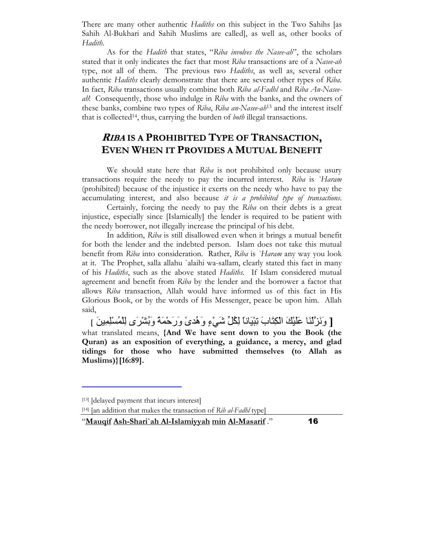There are many other authentic *Hadiths* on this subject in the Two Sahihs [as Sahih Al-Bukhari and Sahih Muslims are called], as well as, other books of Hadith.

As for the Hadith that states, "Riba involves the Nasee-ah", the scholars stated that it only indicates the fact that most Riba transactions are of a Nasee-ah type, not all of them. The previous two Hadiths, as well as, several other authentic Hadiths clearly demonstrate that there are several other types of Riba. In fact, Riba transactions usually combine both Riba al-Fadhl and Riba An-Naseeah! Consequently, those who indulge in Riba with the banks, and the owners of these banks, combine two types of Riba, Riba an-Nasee-ah<sup>13</sup> and the interest itself that is collected<sup>14</sup>, thus, carrying the burden of *both* illegal transactions.

# RIBA IS A PROHIBITED TYPE OF TRANSACTION, EVEN WHEN IT PROVIDES A MUTUAL BENEFIT

We should state here that Riba is not prohibited only because usury transactions require the needy to pay the incurred interest. Riba is `Haram (prohibited) because of the injustice it exerts on the needy who have to pay the accumulating interest, and also because it is a prohibited type of transactions.

 Certainly, forcing the needy to pay the Riba on their debts is a great injustice, especially since [Islamically] the lender is required to be patient with the needy borrower, not illegally increase the principal of his debt.

 In addition, Riba is still disallowed even when it brings a mutual benefit for both the lender and the indebted person. Islam does not take this mutual benefit from Riba into consideration. Rather, Riba is `Haram any way you look at it. The Prophet, salla allahu `alaihi wa-sallam, clearly stated this fact in many of his Hadiths, such as the above stated Hadiths. If Islam considered mutual agreement and benefit from Riba by the lender and the borrower a factor that allows Riba transaction, Allah would have informed us of this fact in His Glorious Book, or by the words of His Messenger, peace be upon him. Allah said,

[ وَنَزَّلْنَا عَلَيْكَ الْكِتَابَ تِبْيَاناً لِكُلِّ شَيْءٍ وَهُدىً وَرَحْمَةً وَبُشْرَى لِلْمُسْلِمِينَ ] what translated means, {And We have sent down to you the Book (the Quran) as an exposition of everything, a guidance, a mercy, and glad tidings for those who have submitted themselves (to Allah as Muslims)}[16:89].

l

[14] [an addition that makes the transaction of  $Rib$  al-Fadhl type]

<sup>[13]</sup> [delayed payment that incurs interest]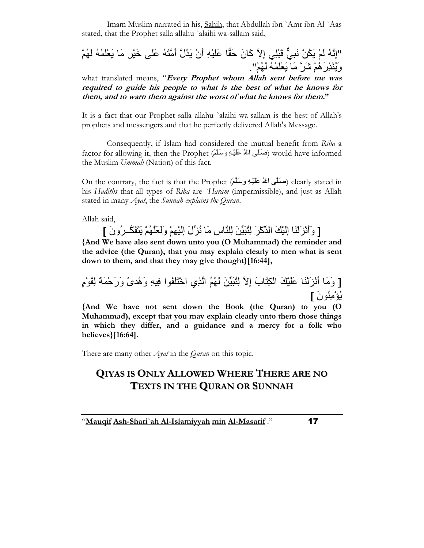Imam Muslim narrated in his, Sahih, that Abdullah ibn `Amr ibn Al-`Aas stated, that the Prophet salla allahu `alaihi wa-sallam said,

"إِنَّهُ لَمْ يَكُنْ نَبِيٌّ قَبْلِي إِلاَّ كَانَ حَقًّا عَلَيْهِ أَنْ يَذُلَّ أُمَّتَهُ عَلَى خَيْرٍ مَا يَعْلَمُهُ لَهُمْ وَيُنْذِرَ هُمْ شَرَّ مَا يَعْلَمُهُ لَهُمْ".

what translated means, "*Every Prophet whom Allah sent before me was* required to guide his people to what is the best of what he knows for them, and to warn them against the worst of what he knows for them."

It is a fact that our Prophet salla allahu `alaihi wa-sallam is the best of Allah's prophets and messengers and that he perfectly delivered Allah's Message.

 Consequently, if Islam had considered the mutual benefit from Riba a factor for allowing it, then the Prophet (صَلَّى اللهُ عَلَيْـهِ وَسَلَّمَ) would have informed the Muslim Ummah (Nation) of this fact.

On the contrary, the fact is that the Prophet (صَلَمِي اللهُ عَلَيْـهِ وَسَلَمَ) clearly stated in his Hadiths that all types of Riba are *`Haram* (impermissible), and just as Allah stated in many *Ayat*, the *Sunnah explains the Quran*.

Allah said,

[ وَأَنْزَلْنَا إِلْيْكَ الدِّكْرَ لِثْبَيِّنَ لِلنَّاسِ مَا نُزِّلَ إِلَيْهِمْ وَلَعَلَّهُمْ يَتَفَكَّـرُونَ ]

{And We have also sent down unto you (O Muhammad) the reminder and the advice (the Quran), that you may explain clearly to men what is sent down to them, and that they may give thought}[16:44],

[ وَمَا أَنْزَلْنَا عَلَيْكَ الْكِتَابَ إِلاَّ لِلْبَيِّنَ لَهُمُ الَّذِي اخْتَلَفُوا فِيهِ وَهُدىً وَرَحْمَةً لِقَوْمٍ يُؤْمِنُونَ ]

{And We have not sent down the Book (the Quran) to you (O Muhammad), except that you may explain clearly unto them those things in which they differ, and a guidance and a mercy for a folk who believes}[16:64].

There are many other *Ayat* in the *Quran* on this topic.

# QIYAS IS ONLY ALLOWED WHERE THERE ARE NO TEXTS IN THE QURAN OR SUNNAH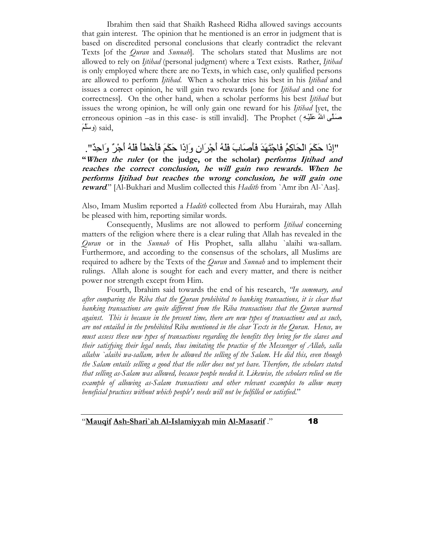Ibrahim then said that Shaikh Rasheed Ridha allowed savings accounts that gain interest. The opinion that he mentioned is an error in judgment that is based on discredited personal conclusions that clearly contradict the relevant Texts [of the *Quran* and *Sunnah*]. The scholars stated that Muslims are not allowed to rely on *Ijtihad* (personal judgment) where a Text exists. Rather, *Ijtihad* is only employed where there are no Texts, in which case, only qualified persons are allowed to perform *Ijtihad*. When a scholar tries his best in his *Ijtihad* and issues a correct opinion, he will gain two rewards [one for *Ijtihad* and one for correctness]. On the other hand, when a scholar performs his best Ijtihad but issues the wrong opinion, he will only gain one reward for his *Ijtihad* [yet, the erroneous opinion –as in this case- is still invalid]. The Prophet (حَسَلَى اللهُ عَلَيْهِ ,<sub>said</sub> (وسَلَّمَ

"إِذَا حَكَمَ الْحَاكِمُ فَاجْتَهَدَ فَأَصِدَابَ فَلَهُ أَجْرِ َانِ وَإِذَا حَكَمَ فَأَخْطَأَ فَلَهُ أَجْرٌ وَاحِدٌ". "When the ruler (or the judge, or the scholar) performs Ijtihad and reaches the correct conclusion, he will gain two rewards. When he performs Ijtihad but reaches the wrong conclusion, he will gain one reward." [Al-Bukhari and Muslim collected this Hadith from `Amr ibn Al-`Aas].

Also, Imam Muslim reported a Hadith collected from Abu Hurairah, may Allah be pleased with him, reporting similar words.

Consequently, Muslims are not allowed to perform *Ijtihad* concerning matters of the religion where there is a clear ruling that Allah has revealed in the Quran or in the Sunnah of His Prophet, salla allahu `alaihi wa-sallam. Furthermore, and according to the consensus of the scholars, all Muslims are required to adhere by the Texts of the *Quran* and *Sunnah* and to implement their rulings. Allah alone is sought for each and every matter, and there is neither power nor strength except from Him.

 Fourth, Ibrahim said towards the end of his research, "In summary, and after comparing the Riba that the Quran prohibited to banking transactions, it is clear that banking transactions are quite different from the Riba transactions that the Quran warned against. This is because in the present time, there are new types of transactions and as such, are not entailed in the prohibited Riba mentioned in the clear Texts in the Quran. Hence, we must assess these new types of transactions regarding the benefits they bring for the slaves and their satisfying their legal needs, thus imitating the practice of the Messenger of Allah, salla allahu `alaihi wa-sallam, when he allowed the selling of the Salam. He did this, even though the Salam entails selling a good that the seller does not yet have. Therefore, the scholars stated that selling as-Salam was allowed, because people needed it. Likewise, the scholars relied on the example of allowing as-Salam transactions and other relevant examples to allow many beneficial practices without which people's needs will not be fulfilled or satisfied."

<sup>&</sup>quot;Mauqif Ash-Shari`ah Al-Islamiyyah min Al-Masarif ." 18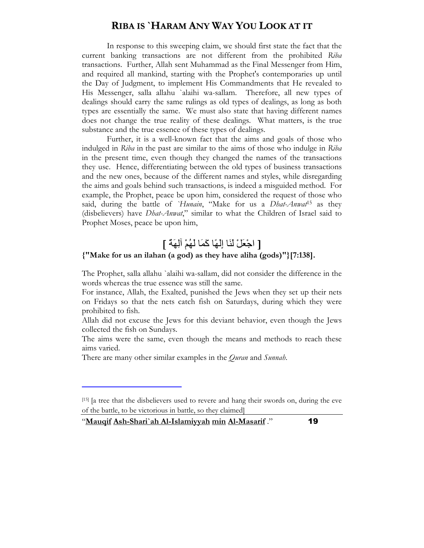## RIBA IS `HARAM ANY WAY YOU LOOK AT IT

 In response to this sweeping claim, we should first state the fact that the current banking transactions are not different from the prohibited Riba transactions. Further, Allah sent Muhammad as the Final Messenger from Him, and required all mankind, starting with the Prophet's contemporaries up until the Day of Judgment, to implement His Commandments that He revealed to His Messenger, salla allahu `alaihi wa-sallam. Therefore, all new types of dealings should carry the same rulings as old types of dealings, as long as both types are essentially the same. We must also state that having different names does not change the true reality of these dealings. What matters, is the true substance and the true essence of these types of dealings.

 Further, it is a well-known fact that the aims and goals of those who indulged in Riba in the past are similar to the aims of those who indulge in Riba in the present time, even though they changed the names of the transactions they use. Hence, differentiating between the old types of business transactions and the new ones, because of the different names and styles, while disregarding the aims and goals behind such transactions, is indeed a misguided method. For example, the Prophet, peace be upon him, considered the request of those who said, during the battle of *`Hunain*, "Make for us a *Dhat-Anwat*<sup>15</sup> as they (disbelievers) have *Dhat-Anwat*," similar to what the Children of Israel said to Prophet Moses, peace be upon him,

# [ اجْعَلْ لَذَا إِلْهًا كَمَا لَهُمْ آلِهَةٌ ]

#### {"Make for us an ilahan (a god) as they have aliha (gods)"}[7:138].

The Prophet, salla allahu `alaihi wa-sallam, did not consider the difference in the words whereas the true essence was still the same.

For instance, Allah, the Exalted, punished the Jews when they set up their nets on Fridays so that the nets catch fish on Saturdays, during which they were prohibited to fish.

Allah did not excuse the Jews for this deviant behavior, even though the Jews collected the fish on Sundays.

The aims were the same, even though the means and methods to reach these aims varied.

There are many other similar examples in the *Ouran* and *Sunnah*.

l

<sup>[15]</sup> [a tree that the disbelievers used to revere and hang their swords on, during the eve of the battle, to be victorious in battle, so they claimed]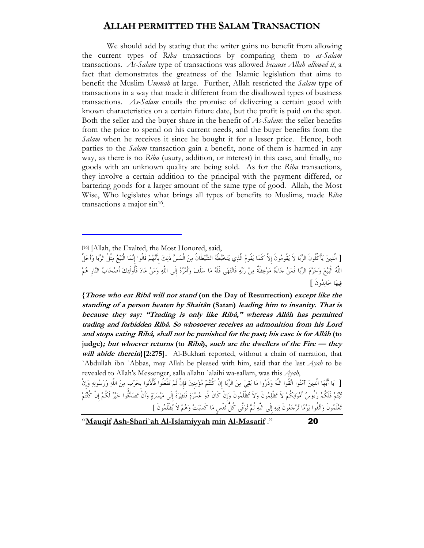#### ALLAH PERMITTED THE SALAM TRANSACTION

 We should add by stating that the writer gains no benefit from allowing the current types of Riba transactions by comparing them to as-Salam transactions. As-Salam type of transactions was allowed because Allah allowed it, a fact that demonstrates the greatness of the Islamic legislation that aims to benefit the Muslim Ummah at large. Further, Allah restricted the Salam type of transactions in a way that made it different from the disallowed types of business transactions. As-Salam entails the promise of delivering a certain good with known characteristics on a certain future date, but the profit is paid on the spot. Both the seller and the buyer share in the benefit of As-Salam: the seller benefits from the price to spend on his current needs, and the buyer benefits from the Salam when he receives it since he bought it for a lesser price. Hence, both parties to the *Salam* transaction gain a benefit, none of them is harmed in any way, as there is no Riba (usury, addition, or interest) in this case, and finally, no goods with an unknown quality are being sold. As for the Riba transactions, they involve a certain addition to the principal with the payment differed, or bartering goods for a larger amount of the same type of good. Allah, the Most Wise, Who legislates what brings all types of benefits to Muslims, made Riba transactions a major sin<sup>16</sup>.

 $\ddot{\phantom{0}}$ 

{Those who eat Ribâ will not stand (on the Day of Resurrection) except like the standing of a person beaten by Shaitân (Satan) leading him to insanity. That is because they say: "Trading is only like Ribâ," whereas Allâh has permitted trading and forbidden Ribâ. So whosoever receives an admonition from his Lord and stops eating Ribâ, shall not be punished for the past; his case is for Allâh (to judge); but whoever returns (to Ribâ), such are the dwellers of the Fire  $-$  they will abide therein}[2:275]. Al-Bukhari reported, without a chain of narration, that `Abdullah ibn `Abbas, may Allah be pleased with him, said that the last  $A$ yah to be revealed to Allah's Messenger, salla allahu `alaihi wa-sallam, was this Ayah,

[ يَا أَيُّهَا الَّذِينَ آمَنُوا اتَّقُوا اللَّهَ وَذَرُوا مَا بَقِيَ مِنَ الرِّبَا إِنْ كُنْتُمْ مُؤْمِنِينَ فَإِنْ لَمْ تَفْعَلُوا فَأْذَنُوا بحَرْب مِنَ اللَّهِ وَرَسُولِهِ وَإِنْ تْبْتُمْ فَلَكُمْ رُءُوسُ أَمْوَالِكُمْ لاَ تَظْلِمُونَ وَلاَ تُظْلَمُونَ وَإِنْ كَانَ ذُو عُسْرَةٍ فَنَظِرَةٌ إلَى مَيْسَرَةٍ وَأَنْ تَصَدَّقُوا خَيْرٌ لَكُمْ إنْ كُنْتُمْ تَعْلَمُونَ وَاتَّقُوا يَوْمًا تُرْجَعُونَ فِيهِ إِلَى اللَّهِ ثُمَّ تُوَفَّى كُلّ نَفْسٍ مَا كَسَبَتْ وَهُمْ لاَ يُظْلَمُونَ ]

<sup>[16] [</sup>Allah, the Exalted, the Most Honored, said,

<sup>[</sup> الّذِينَ يَأْكُلُونُ الرِّبَا لاَ يَقُومُونَ إِلاّ كَمَا يَقُومُ الّذِي يَتَخَبَّطُهُ الشَّيْطُانُ مِنَ الْمَسِّ ذَلِكَ بأَنَّهُمْ قَالُوا إِنَّمَا الْبَيْعُ مِثْلُ الرِّبَا وَأَحَلّ اللَّهُ الْبَيْعَ وَحَرَّمَ الرَّبَا فَمَنْ جَاءَهُ مَوْعِظَةٌ مِنْ رَبِّهِ فَانْتَهَى فَلَهُ مَا سَلَفَ وَأَمْرُهُ إِلَى اللَّهِ وَمَنْ عَادَ فَأُولَئِكَ أَصْحَابُ النَّارِ هُمْ فسهَا خَالِدُهِ نَ ]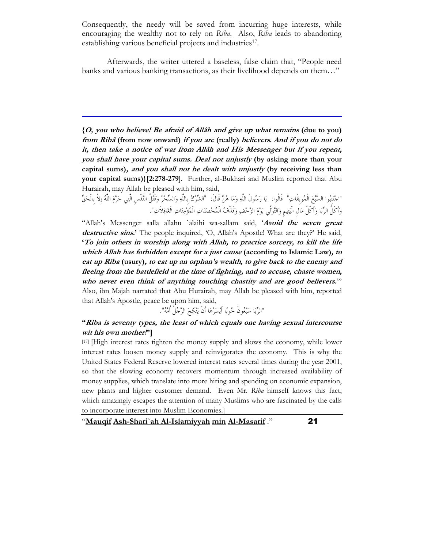Consequently, the needy will be saved from incurring huge interests, while encouraging the wealthy not to rely on Riba. Also, Riba leads to abandoning establishing various beneficial projects and industries<sup>17</sup>.

 Afterwards, the writer uttered a baseless, false claim that, "People need banks and various banking transactions, as their livelihood depends on them…"

 $\ddot{\phantom{0}}$ 

 ${O$ , you who believe! Be afraid of Allâh and give up what remains (due to you) from Ribâ (from now onward) if you are (really) believers. And if you do not do it, then take a notice of war from Allâh and His Messenger but if you repent, you shall have your capital sums. Deal not unjustly (by asking more than your capital sums), and you shall not be dealt with unjustly (by receiving less than your capital sums)}[2:278-279]. Further, al-Bukhari and Muslim reported that Abu Hurairah, may Allah be pleased with him, said,

"احْتَنِبُوا السُّبْعَ المُوبِقاتِ" قالوا: يَا رَسُول اللهِ وَمَا هُنَّ قال: "الشَّرْكُ بِاللهِ وَالسَّحْرُ وَقَتْل النَّفسِ التِي حَرَّمَ اللهُ إِلا بِالحَقُّ وَأَكُلُّ الرِّبَا وَأَكُلُّ مَالِ اليَتِيمِ وَالتَّوَلَى يَوْمَ الزَّحْفِ وَقَذَفُ المُحْصَنَاتِ الْمُؤْمِنَاتِ الغَافِلاتِ".

"Allah's Messenger salla allahu `alaihi wa-sallam said, 'Avoid the seven great destructive sins.' The people inquired, 'O, Allah's Apostle! What are they?' He said, 'To join others in worship along with Allah, to practice sorcery, to kill the life which Allah has forbidden except for a just cause (according to Islamic Law), to eat up Riba (usury), to eat up an orphan's wealth, to give back to the enemy and fleeing from the battlefield at the time of fighting, and to accuse, chaste women, who never even think of anything touching chastity and are good believers." Also, ibn Majah narrated that Abu Hurairah, may Allah be pleased with him, reported that Allah's Apostle, peace be upon him, said,

"الرَّبَا سَبْعُون حُوبًا أَيْسَرُهَا أَن يَنْكِحَ الرَّجُلِ أَمَّهُ".

#### "Riba is seventy types, the least of which equals one having sexual intercourse wit his own mother!"

[17] [High interest rates tighten the money supply and slows the economy, while lower interest rates loosen money supply and reinvigorates the economy. This is why the United States Federal Reserve lowered interest rates several times during the year 2001, so that the slowing economy recovers momentum through increased availability of money supplies, which translate into more hiring and spending on economic expansion, new plants and higher customer demand. Even Mr. Riba himself knows this fact, which amazingly escapes the attention of many Muslims who are fascinated by the calls to incorporate interest into Muslim Economies.]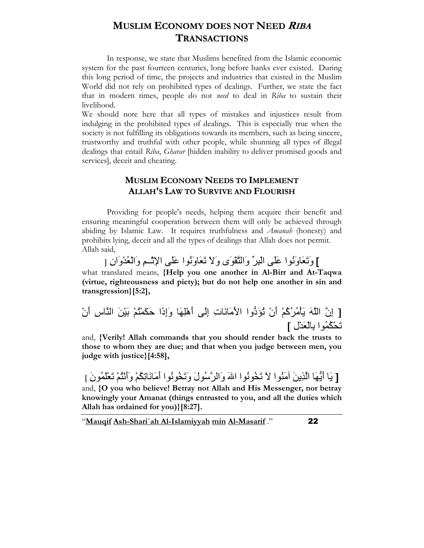## **MUSLIM ECONOMY DOES NOT NEED RIBA** TRANSACTIONS

 In response, we state that Muslims benefited from the Islamic economic system for the past fourteen centuries, long before banks ever existed. During this long period of time, the projects and industries that existed in the Muslim World did not rely on prohibited types of dealings. Further, we state the fact that in modern times, people do not *need* to deal in Riba to sustain their livelihood.

We should note here that all types of mistakes and injustices result from indulging in the prohibited types of dealings. This is especially true when the society is not fulfilling its obligations towards its members, such as being sincere, trustworthy and truthful with other people, while shunning all types of illegal dealings that entail Riba, Gharar [hidden inability to deliver promised goods and services], deceit and cheating.

## MUSLIM ECONOMY NEEDS TO IMPLEMENT ALLAH'S LAW TO SURVIVE AND FLOURISH

 Providing for people's needs, helping them acquire their benefit and ensuring meaningful cooperation between them will only be achieved through abiding by Islamic Law. It requires truthfulness and *Amanah* (honesty) and prohibits lying, deceit and all the types of dealings that Allah does not permit. Allah said,

] وَتَعَاوَنُوا عَلَى الْبِرِّ وَالنَّقْوَى وَلاَ تَعَاوَنُوا عَلَى الإِنْسِمِ وَالْعُدْوَانِ [ what translated means, {Help you one another in Al-Birr and At-Taqwa (virtue, righteousness and piety); but do not help one another in sin and transgression}[5:2],

[ إِن اَ ْ#َُ5ُآُْ أَنْ ُfَد"وا اَ2ََتِ إَِG أَهِْ!َ وَإِذَا َْ\$َ
ُْ َْ6َ% اسِ أَنْ َSُُ\$ْا ِْ%Kْ-َلِ ]

and, {Verily! Allah commands that you should render back the trusts to those to whom they are due; and that when you judge between men, you judge with justice}[4:58],

[ يَا أَيُّهَا الَّذِينَ آمَنُوا لاَ تَخُونُوا اللهَ وَالرَّسُولَ وَتَخُونُوا أَمَانَاتِكُمْ وَأَنْتُمْ تَعْلَمُونَ ] and, {O you who believe! Betray not Allah and His Messenger, nor betray knowingly your Amanat (things entrusted to you, and all the duties which Allah has ordained for you)}[8:27].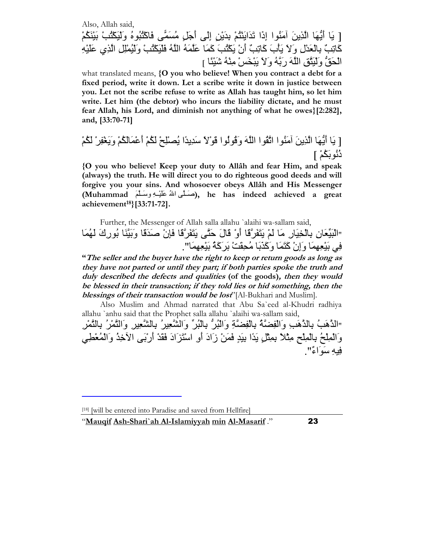Also, Allah said, [ يَا أَيُّهَا الَّذِينَ آمَنُوا إِذَا تَدَايَنْتُمْ بِدَيْنِ إِلَى أَجَلِ مُسَمَّى فَاكْتُبُوهُ وَلَيَكْتُبْ بَيْنَكُمْ كَّاتِبٌ بِالْعَدْلِ وَلاَ يَأْبَ كَاتِبٌ أَنْ يَكْتُبَ كَمَا عَلَمَهُ اللَّهُ فَلْيَكْتُبْ وَلَيُمْلِل الَّذِي عَلَيْهِ الْحَقُّ وَلَبَنَّقِ اللَّهَ رِبَّهُ وَلاَ بَبْخَسٍ مِنْهُ شَبْنًا ]

what translated means, {O you who believe! When you contract a debt for a fixed period, write it down. Let a scribe write it down in justice between you. Let not the scribe refuse to write as Allah has taught him, so let him write. Let him (the debtor) who incurs the liability dictate, and he must fear Allah, his Lord, and diminish not anything of what he owes}[2:282], and, [33:70-71]

[ َ أَ"!َ ا َِ َُا اُا اَ وَ;ُُا ;ًَْ =ِ-ًَ-ا ُAِْ@ْ ُ\$َْ أَ>ُ\$ََْْ وََ?ْ5ِ/ْ ُ\$َْ ذُ\$َ%ُُْ ]

{O you who believe! Keep your duty to Allâh and fear Him, and speak (always) the truth. He will direct you to do righteous good deeds and will forgive you your sins. And whosoever obeys Allâh and His Messenger (Muhammad َHHHَ=و ِHHHْ6ََ< ُFا GHHHَI), he has indeed achieved a great achievement<sup>18</sup>}[33:71-72].

 Further, the Messenger of Allah salla allahu `alaihi wa-sallam said, "الْبَيِّعَانِ بِالْخِيَارِ مَا لَمْ يَتَفَرَّقَا أَوْ قَالَ حَتَّى يَتَفَرَّقَا فَإِنَّ صَدَقَا وَبَيَّنَا بُورِكَ لَهُمَا فِي بَيْعِهِمَا وَإِنْ كَتَمَا وَكَذَبَا مُحِقَتْ بَرِ كَهُ بَيْعِهِمَا".

"The seller and the buyer have the right to keep or return goods as long as they have not parted or until they part; if both parties spoke the truth and duly described the defects and qualities (of the goods), then they would be blessed in their transaction; if they told lies or hid something, then the blessings of their transaction would be lost<sup>"</sup>[Al-Bukhari and Muslim].

 Also Muslim and Ahmad narrated that Abu Sa`eed al-Khudri radhiya allahu `anhu said that the Prophet salla allahu `alaihi wa-sallam said, "الْذَّهَبُ بِالْذَّهَبِ وَالْفِضَّةُ بِالْفِضَّةِ وَالْبُرِّ ۚ بِالْبُرِّ ۖ وَالشَّعْدِرِ ۚ وَالشَّالِمُ وَالنَّمْرُ وَالْمِلْحُ بِالْمِلْحِ مِثْلاً بِمِثْلِ بَدًا بِيَدٍ فَمَنْ زَادَ أَوِ اسْتَزَادَ فَقَدْ أَرْبَى الأَخِذُ وَالْمُعْطِي فِيهِ سَوَاءٌ".

 $\ddot{\phantom{0}}$ 

<sup>[18] [</sup>will be entered into Paradise and saved from Hellfire]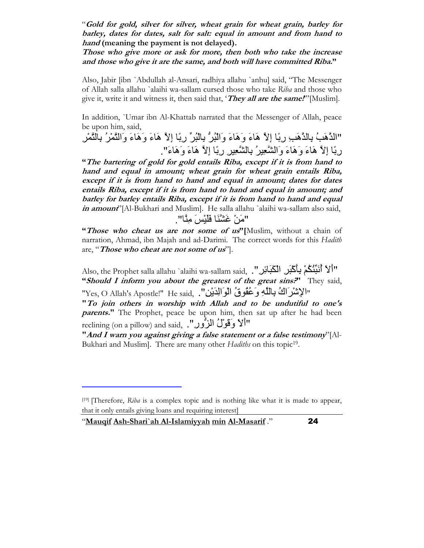"Gold for gold, silver for silver, wheat grain for wheat grain, barley for barley, dates for dates, salt for salt: equal in amount and from hand to hand (meaning the payment is not delayed).

Those who give more or ask for more, then both who take the increase and those who give it are the same, and both will have committed Riba."

Also, Jabir [ibn `Abdullah al-Ansari, radhiya allahu `anhu] said, "The Messenger of Allah salla allahu `alaihi wa-sallam cursed those who take Riba and those who give it, write it and witness it, then said that, '*They all are the same!*"[Muslim].

In addition, `Umar ibn Al-Khattab narrated that the Messenger of Allah, peace be upon him, said,

"الدَّهَبُ بِالدَّهَبِ رِبًا إِلاَّ هَاءَ وَهَاءَ وَاللَّبُنُّ بِاللَّهِرِّ رِبًا إِلاَّ هَاءَ وَهَاءَ وَالنَّمْرُ بِالْتَمْرِ رِبَّا إِلاَّ هَاءَ وَهَاءَ وَالشَّعِيرُ بِالشَّعِيرِ رِبًا إِلاَّ هَاءَ وَهَاءَ".

"The bartering of gold for gold entails Riba, except if it is from hand to hand and equal in amount; wheat grain for wheat grain entails Riba, except if it is from hand to hand and equal in amount; dates for dates entails Riba, except if it is from hand to hand and equal in amount; and barley for barley entails Riba, except if it is from hand to hand and equal in amount"[Al-Bukhari and Muslim]. He salla allahu `alaihi wa-sallam also said, "مَنْ غَشْنَا فَلْيْسَ مِنَّا".

"Those who cheat us are not some of us"[Muslim, without a chain of narration, Ahmad, ibn Majah and ad-Darimi. The correct words for this Hadith are, "Those who cheat are not some of us".

Also, the Prophet salla allahu `alaihi wa-sallam said, .''كَبَر الْكَبَائِر ".<br>'' "Should I inform you about the greatest of the great sins?" They said, "الإِنْسْرَ الْكُ بِاللَّهِ وَعُقُوقُ الْوَالِدَيْنِ" . He said, "Yes, O Allah's Apostle!" He said,

"To join others in worship with Allah and to be undutiful to one's *parents.*" The Prophet, peace be upon him, then sat up after he had been reclining (on a pillow) and said, ."الأَ وَقَوْلُ الزُّور

"And I warn you against giving a false statement or a false testimony" $[A]$ -Bukhari and Muslim]. There are many other Hadiths on this topic<sup>19</sup>.

l

 $[19]$  [Therefore, Riba is a complex topic and is nothing like what it is made to appear, that it only entails giving loans and requiring interest]

<sup>&</sup>quot;Mauqif Ash-Shari`ah Al-Islamiyyah min Al-Masarif ." 24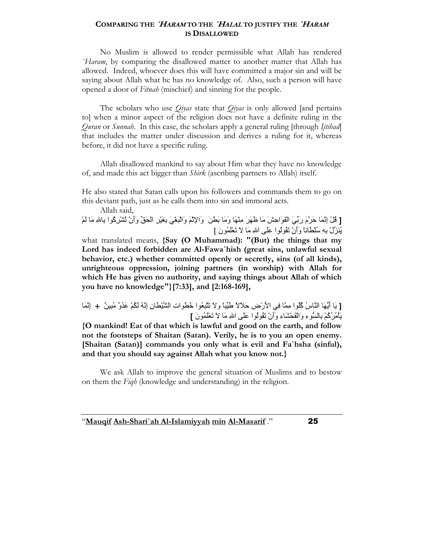#### COMPARING THE 'HARAM TO THE 'HALAL TO JUSTIFY THE 'HARAM IS DISALLOWED

 No Muslim is allowed to render permissible what Allah has rendered `Haram, by comparing the disallowed matter to another matter that Allah has allowed. Indeed, whoever does this will have committed a major sin and will be saying about Allah what he has no knowledge of. Also, such a person will have opened a door of Fitnah (mischief) and sinning for the people.

The scholars who use  $Qiyas$  state that  $Qiyas$  is only allowed [and pertains to] when a minor aspect of the religion does not have a definite ruling in the Quran or Sunnah. In this case, the scholars apply a general ruling [through Ijtihad] that includes the matter under discussion and derives a ruling for it, whereas before, it did not have a specific ruling.

 Allah disallowed mankind to say about Him what they have no knowledge of, and made this act bigger than *Shirk* (ascribing partners to Allah) itself.

He also stated that Satan calls upon his followers and commands them to go on this deviant path, just as he calls them into sin and immoral acts.

Allah said,

[ قُلْ إِنَّمَا حَرَّمَ رَبِّيَ الْفَوَاحِشَ مَا ظَهَرَ مِنْهَا وَمَا بَطْنَ ۖ وَالإِثْمَ وَالْبَغْيَ بِغَيْرِ الْحَقِّ وَأَنْ تُشْرِكُوا بِاللهِ مَا لَمْ .<br>بُذَرٌ لْ يهِ سُلطاناً وَأَنْ تَقُولُوا عَلَى اللهِ مَا لاَ تَعْلَمُونَ ]

what translated means,  $\{Say (O Muhammad): "(But) the things that my$ Lord has indeed forbidden are Al-Fawa'hish (great sins, unlawful sexual behavior, etc.) whether committed openly or secretly, sins (of all kinds), unrighteous oppression, joining partners (in worship) with Allah for which He has given no authority, and saying things about Allah of which you have no knowledge"}[7:33], and [2:168-169],

[ يَا أَيُّهَا النَّاسُ كُلُوا مِمَّا فِي الأَرْضِ حَلالاً طَيِّبًا وَلاَ تَتَبِعُوا خُطُواتِ الشَّيْطَانِ إِنَّهُ لَكُمْ عَدُوٌ مُبِينٌ ۖ + إِنَّمَا يَأْمُرُكُمْ بِالسُّوءِ وَالْفَحْشَاءِ وَأَنْ تَقُولُوا عَلَى اللهِ مَا لاَ تَعْلَمُونَ ]

{O mankind! Eat of that which is lawful and good on the earth, and follow not the footsteps of Shaitan (Satan). Verily, he is to you an open enemy. [Shaitan (Satan)] commands you only what is evil and Fa`hsha (sinful), and that you should say against Allah what you know not.}

 We ask Allah to improve the general situation of Muslims and to bestow on them the Fiqh (knowledge and understanding) in the religion.